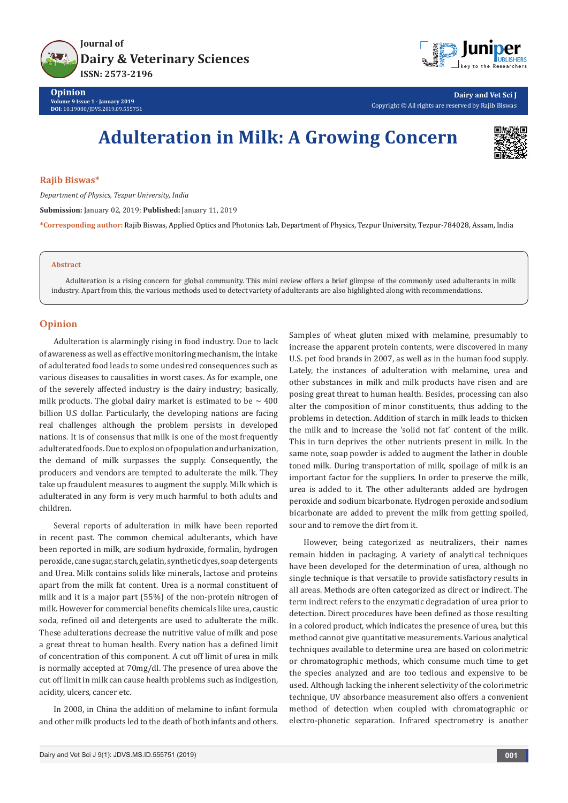



**Dairy and Vet Sci J** Copyright © All rights are reserved by Rajib Biswas

# **Adulteration in Milk: A Growing Concern**



#### **Rajib Biswas\***

*Department of Physics, Tezpur University, India*

**Submission:** January 02, 2019; **Published:** January 11, 2019

**\*Corresponding author:** Rajib Biswas, Applied Optics and Photonics Lab, Department of Physics, Tezpur University, Tezpur-784028, Assam, India

#### **Abstract**

Adulteration is a rising concern for global community. This mini review offers a brief glimpse of the commonly used adulterants in milk industry. Apart from this, the various methods used to detect variety of adulterants are also highlighted along with recommendations.

### **Opinion**

Adulteration is alarmingly rising in food industry. Due to lack of awareness as well as effective monitoring mechanism, the intake of adulterated food leads to some undesired consequences such as various diseases to causalities in worst cases. As for example, one of the severely affected industry is the dairy industry; basically, milk products. The global dairy market is estimated to be  $\sim$  400 billion U.S dollar. Particularly, the developing nations are facing real challenges although the problem persists in developed nations. It is of consensus that milk is one of the most frequently adulterated foods. Due to explosion of population and urbanization, the demand of milk surpasses the supply. Consequently, the producers and vendors are tempted to adulterate the milk. They take up fraudulent measures to augment the supply. Milk which is adulterated in any form is very much harmful to both adults and children.

Several reports of adulteration in milk have been reported in recent past. The common chemical adulterants, which have been reported in milk, are sodium hydroxide, formalin, hydrogen peroxide, cane sugar, starch, gelatin, synthetic dyes, soap detergents and Urea. Milk contains solids like minerals, lactose and proteins apart from the milk fat content. Urea is a normal constituent of milk and it is a major part (55%) of the non-protein nitrogen of milk. However for commercial benefits chemicals like urea, caustic soda, refined oil and detergents are used to adulterate the milk. These adulterations decrease the nutritive value of milk and pose a great threat to human health. Every nation has a defined limit of concentration of this component. A cut off limit of urea in milk is normally accepted at 70mg/dl. The presence of urea above the cut off limit in milk can cause health problems such as indigestion, acidity, ulcers, cancer etc.

In 2008, in China the addition of melamine to infant formula and other milk products led to the death of both infants and others.

Samples of wheat gluten mixed with melamine, presumably to increase the apparent protein contents, were discovered in many U.S. pet food brands in 2007, as well as in the human food supply. Lately, the instances of adulteration with melamine, urea and other substances in milk and milk products have risen and are posing great threat to human health. Besides, processing can also alter the composition of minor constituents, thus adding to the problems in detection. Addition of starch in milk leads to thicken the milk and to increase the 'solid not fat' content of the milk. This in turn deprives the other nutrients present in milk. In the same note, soap powder is added to augment the lather in double toned milk. During transportation of milk, spoilage of milk is an important factor for the suppliers. In order to preserve the milk, urea is added to it. The other adulterants added are hydrogen peroxide and sodium bicarbonate. Hydrogen peroxide and sodium bicarbonate are added to prevent the milk from getting spoiled, sour and to remove the dirt from it.

However, being categorized as neutralizers, their names remain hidden in packaging. A variety of analytical techniques have been developed for the determination of urea, although no single technique is that versatile to provide satisfactory results in all areas. Methods are often categorized as direct or indirect. The term indirect refers to the enzymatic degradation of urea prior to detection. Direct procedures have been defined as those resulting in a colored product, which indicates the presence of urea, but this method cannot give quantitative measurements. Various analytical techniques available to determine urea are based on colorimetric or chromatographic methods, which consume much time to get the species analyzed and are too tedious and expensive to be used. Although lacking the inherent selectivity of the colorimetric technique, UV absorbance measurement also offers a convenient method of detection when coupled with chromatographic or electro-phonetic separation. Infrared spectrometry is another